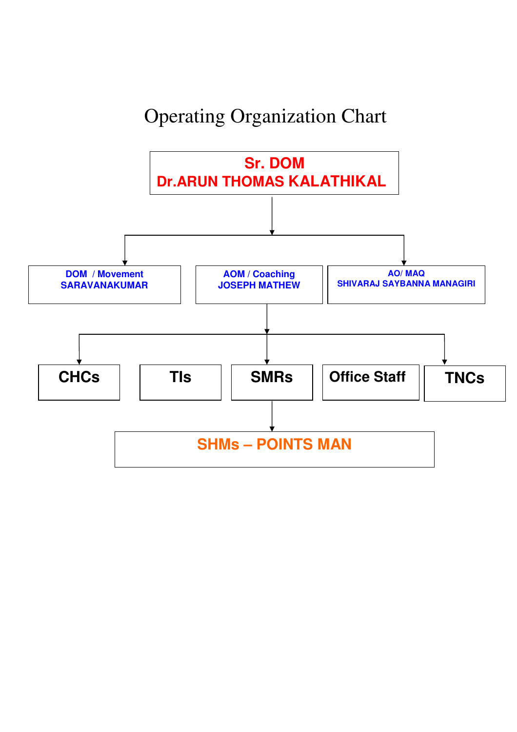## Operating Organization Chart